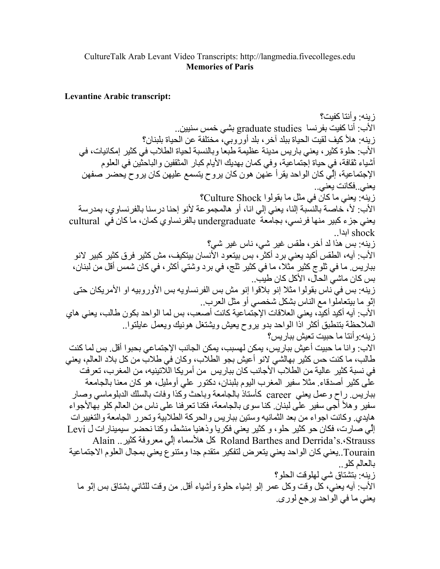## CultureTalk Arab Levant Video Transcripts: http://langmedia.fivecolleges.edu **Memories of Paris**

## **Levantine Arabic transcript:**

ز بنه· و أنتا كفيت؟ الأب: أنا كفيت بفرنسا graduate studies بشي خمس سنبين.. زينه: هلأ كيف لقيت الحياة ببلد آخر ، بلد أورَّوبي، مختلفة عن الحياة بلبنان؟ الأب: حلوة كثير ، يعني باريس مدينة عظيمة طبعا وبالنسبة لحياة الطلاب في كثير إمكانيات، في أشياء ثقافة، في حياة إجتماعية، وفي كمان بهديك الأيام كبار المثقفين والباحثين في العلوم الإجتماعية، إلّي كان الواحد يقرأ عنّهن هون كان يروح يتسمع عليهن كان يروح يحضر صفهن يعني فكانت يعني… زينه: يعني ما كان في مثل ما بقولوا Culture Shock؟ الأب: لأ، خاصــة بالنسبـة إلنـا، يعنـى إلـى انـا، أو هالمـجمو عـة لأنو إحنـا در سنـا بالفر نساو ي، بمدر سـة يعني جزء كبير منها فرنسي، بجامعة undergraduate بالفرنساوي كمان، ما كان في cultural shock ابدا زينه: بس هذا لد أخر ، طقس غير شي، ناس غير شي؟ الأب: آيه، الطقس أكيد يعني برد أكثرٌ ، بس بيتعود الآنسان بيتكيف، مش كثير فرق كثير كبير لانو ببار پس ِ ما في ثلو ج كثير ٍ مِّثلاً، ما في كثير ِ ثلج، في بر د و شتى أكثر ، في كان شمس أقل من لبنان، بِس كان ماشيّ الحالّ، الأكل كان طبِب. .<br>زينه: بس في ناس بقولوا مثلا إنو بلاقوا إنو مش بس الفرنساويه بس الأوروبيه او الأمريكان حتى إنَّو ما بيتعاملُوا مع النَّاس بشكل شخصبي أو مثل العرب. الأب: آيه أكيد أكيد، يعني العلاقات الإجتماعية كانت أصعب، بس لما الواحد بكون طالب، يعني هاي الملاحظة بتنطبق أكثر اذَّا الو احد بدو بر و ح يعيش و يشتغل هو نبك و يعمل عايلتو ا . ز بنه:و أننا ما حببت تعبش بيار بس؟ الاب: و إنا ما حبيت أعيش ببار يس، يمكن لهسبب، يمكن الجانب الإجتماعي بحبو ا أقل. بس لما كنت طالب، ما كنت حس كثير بهالشي لانو أعيش بجو الطلاب، وكان في طلاب من كل بلاد العالم، يعني في نسبة كثير عالية من الطلاب الأجانب كان بباريس من أمريكا اللاتينيه، من المغرب، تعرفت على كثير أصدقاء ٍ مثلا سفير المغرب اليوم بلبنان، دكتور على أومليل، هو كان معنا بالجامعة بباريس راح وعمل يعني career كأستاذ بالجامعة وباحث وكذا وفات بالسلك الدبلوماسي وصار سفير و هلأ أُجِي سفيرٍ علَّى لبنان ِ كنا سوى بالجامعة، فكنا تعرفنا على ناس من العالم كلو بِهالأجواء هايدي وكانت اجواء من بعد الثمانيه وستين بباريس والحركة الطلابية وتحرر الجامعة والتغيير ات إلِّي صارت، فكان حو كثير حلو، و كثير يعني فكريا وذهنيا منشط، وكنا نحضر سيمينارات ل Levi Alain .. لا هلأسماء إلِّي معروفة كثير Roland Barthes and Derrida's .< Strauss Tourain..يعني كان الواحد يعني يتعرض لتفكير متقدم جدا ومتنوع يعني بمجال العلوم الاجتماعية بالعالم كلو زِ بِنه: بِتشتاق شي لهلو قت الحلو ؟ الأب: أيه يعني، كل وقت وكل عمر إلو إشياء حلوة وأشياء أقل من وقت للثاني بشتاق بس إنّو ما يعني ما في الواحد برجع لوري.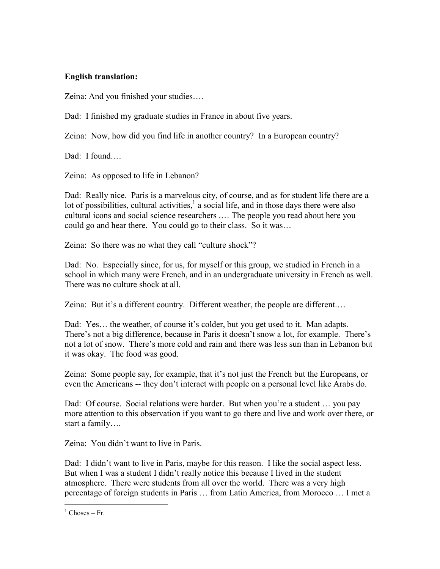## English translation:

Zeina: And you finished your studies….

Dad: I finished my graduate studies in France in about five years.

Zeina: Now, how did you find life in another country? In a European country?

Dad: I found.

Zeina: As opposed to life in Lebanon?

Dad: Really nice. Paris is a marvelous city, of course, and as for student life there are a lot of possibilities, cultural activities,  $\frac{1}{2}$  a social life, and in those days there were also cultural icons and social science researchers .… The people you read about here you could go and hear there. You could go to their class. So it was…

Zeina: So there was no what they call "culture shock"?

Dad: No. Especially since, for us, for myself or this group, we studied in French in a school in which many were French, and in an undergraduate university in French as well. There was no culture shock at all.

Zeina: But it's a different country. Different weather, the people are different.…

Dad: Yes... the weather, of course it's colder, but you get used to it. Man adapts. There's not a big difference, because in Paris it doesn't snow a lot, for example. There's not a lot of snow. There's more cold and rain and there was less sun than in Lebanon but it was okay. The food was good.

Zeina: Some people say, for example, that it's not just the French but the Europeans, or even the Americans -- they don't interact with people on a personal level like Arabs do.

Dad: Of course. Social relations were harder. But when you're a student ... you pay more attention to this observation if you want to go there and live and work over there, or start a family….

Zeina: You didn't want to live in Paris.

Dad: I didn't want to live in Paris, maybe for this reason. I like the social aspect less. But when I was a student I didn't really notice this because I lived in the student atmosphere. There were students from all over the world. There was a very high percentage of foreign students in Paris … from Latin America, from Morocco … I met a

 $\overline{a}$ 

 $<sup>1</sup>$  Choses – Fr.</sup>